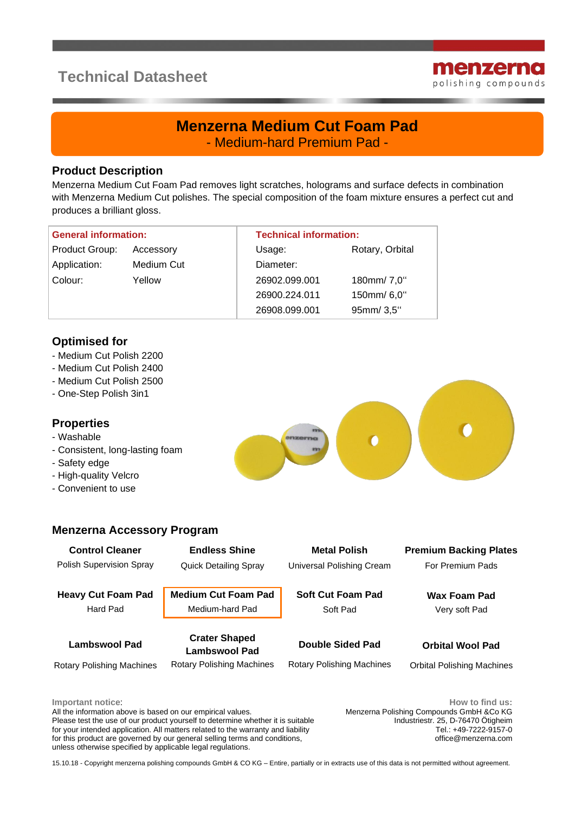# **Technical Datasheet**



## **Menzerna Medium Cut Foam Pad** - Medium-hard Premium Pad -

#### **Product Description**

Menzerna Medium Cut Foam Pad removes light scratches, holograms and surface defects in combination with Menzerna Medium Cut polishes. The special composition of the foam mixture ensures a perfect cut and produces a brilliant gloss.

| <b>General information:</b> |            | <b>Technical information:</b> |                 |
|-----------------------------|------------|-------------------------------|-----------------|
| Product Group:              | Accessory  | Usage:                        | Rotary, Orbital |
| Application:                | Medium Cut | Diameter:                     |                 |
| Colour:                     | Yellow     | 26902.099.001                 | 180mm/7,0"      |
|                             |            | 26900.224.011                 | 150mm/6,0"      |
|                             |            | 26908.099.001                 | 95mm/3,5"       |

### **Optimised for**

- Medium Cut Polish 2200
- Medium Cut Polish 2400
- Medium Cut Polish 2500
- One-Step Polish 3in1

#### **Properties**

- Washable
- Consistent, long-lasting foam
- Safety edge
- High-quality Velcro
- Convenient to use

#### **Menzerna Accessory Program**

**Control Cleaner Endless Shine Metal Polish Premium Backing Plates** Polish Supervision Spray Quick Detailing Spray Universal Polishing Cream For Premium Pads **Heavy Cut Foam Pad Medium Cut Foam Pad Soft Cut Foam Pad Wax Foam Pad**

Hard Pad **Medium-hard Pad** Soft Pad Very soft Pad

**Lambswool Pad Crater Shaped Lambswool Pad Double Sided Pad Orbital Wool Pad**

Rotary Polishing Machines Rotary Polishing Machines Rotary Polishing Machines Orbital Polishing Machines

**Important notice**:

All the information above is based on our empirical values. Please test the use of our product yourself to determine whether it is suitable for your intended application. All matters related to the warranty and liability for this product are governed by our general selling terms and conditions, unless otherwise specified by applicable legal regulations.

**How to find us:** Menzerna Polishing Compounds GmbH &Co KG Industriestr. 25, D-76470 Ötigheim Tel.: +49-7222-9157-0 office@menzerna.com

15.10.18 - Copyright menzerna polishing compounds GmbH & CO KG – Entire, partially or in extracts use of this data is not permitted without agreement.